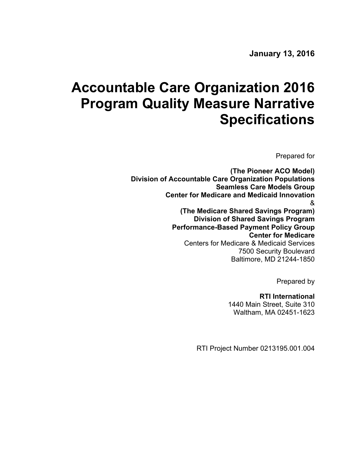**January 13, 2016** 

# **Accountable Care Organization 2016 Program Quality Measure Narrative Specifications**

Prepared for

**(The Pioneer ACO Model) Division of Accountable Care Organization Populations Seamless Care Models Group Center for Medicare and Medicaid Innovation** & **(The Medicare Shared Savings Program) Division of Shared Savings Program Performance-Based Payment Policy Group Center for Medicare** Centers for Medicare & Medicaid Services 7500 Security Boulevard Baltimore, MD 21244-1850

Prepared by

**RTI International** 1440 Main Street, Suite 310 Waltham, MA 02451-1623

RTI Project Number 0213195.001.004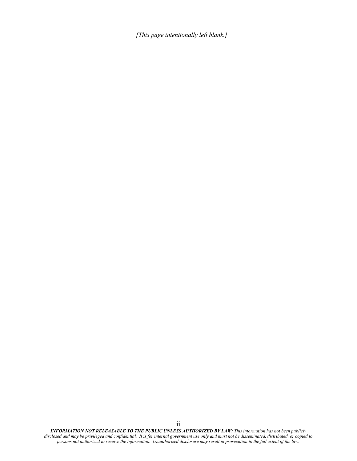*[This page intentionally left blank.]*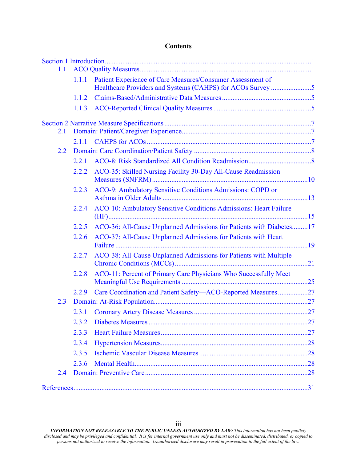# **Contents**

| 1.1 |       |                                                                     |  |
|-----|-------|---------------------------------------------------------------------|--|
|     | 1.1.1 | Patient Experience of Care Measures/Consumer Assessment of          |  |
|     | 1.1.2 |                                                                     |  |
|     | 1.1.3 |                                                                     |  |
|     |       |                                                                     |  |
| 2.1 |       |                                                                     |  |
|     |       |                                                                     |  |
| 2.2 |       |                                                                     |  |
|     | 2.2.1 |                                                                     |  |
|     | 2.2.2 | ACO-35: Skilled Nursing Facility 30-Day All-Cause Readmission       |  |
|     | 2.2.3 | ACO-9: Ambulatory Sensitive Conditions Admissions: COPD or          |  |
|     | 2.2.4 | ACO-10: Ambulatory Sensitive Conditions Admissions: Heart Failure   |  |
|     | 2.2.5 | ACO-36: All-Cause Unplanned Admissions for Patients with Diabetes17 |  |
|     | 2.2.6 | ACO-37: All-Cause Unplanned Admissions for Patients with Heart      |  |
|     | 2.2.7 | ACO-38: All-Cause Unplanned Admissions for Patients with Multiple   |  |
|     | 2.2.8 | ACO-11: Percent of Primary Care Physicians Who Successfully Meet    |  |
|     | 2.2.9 | Care Coordination and Patient Safety-ACO-Reported Measures 27       |  |
| 2.3 |       |                                                                     |  |
|     | 2.3.1 |                                                                     |  |
|     | 2.3.2 |                                                                     |  |
|     | 2.3.3 |                                                                     |  |
|     | 2.3.4 |                                                                     |  |
|     | 2.3.5 |                                                                     |  |
|     | 2.3.6 |                                                                     |  |
| 2.4 |       |                                                                     |  |
|     |       |                                                                     |  |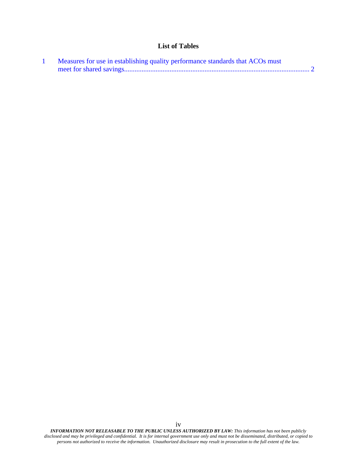# **List of Tables**

| Measures for use in establishing quality performance standards that ACOs must |  |
|-------------------------------------------------------------------------------|--|
|                                                                               |  |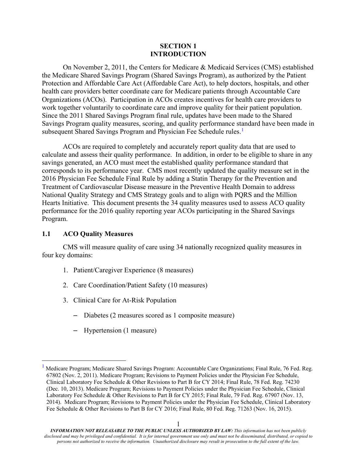#### **SECTION 1 INTRODUCTION**

<span id="page-4-0"></span>On November 2, 2011, the Centers for Medicare & Medicaid Services (CMS) established the Medicare Shared Savings Program (Shared Savings Program), as authorized by the Patient Protection and Affordable Care Act (Affordable Care Act), to help doctors, hospitals, and other health care providers better coordinate care for Medicare patients through Accountable Care Organizations (ACOs). Participation in ACOs creates incentives for health care providers to work together voluntarily to coordinate care and improve quality for their patient population. Since the 2011 Shared Savings Program final rule, updates have been made to the Shared Savings Program quality measures, scoring, and quality performance standard have been made in subsequent Shared Savings Program and Physician Fee Schedule rules.<sup>[1](#page-4-2)</sup>

<span id="page-4-3"></span>ACOs are required to completely and accurately report quality data that are used to calculate and assess their quality performance. In addition, in order to be eligible to share in any savings generated, an ACO must meet the established quality performance standard that corresponds to its performance year. CMS most recently updated the quality measure set in the 2016 Physician Fee Schedule Final Rule by adding a Statin Therapy for the Prevention and Treatment of Cardiovascular Disease measure in the Preventive Health Domain to address National Quality Strategy and CMS Strategy goals and to align with PQRS and the Million Hearts Initiative. This document presents the 34 quality measures used to assess ACO quality performance for the 2016 quality reporting year ACOs participating in the Shared Savings Program.

## <span id="page-4-1"></span>**1.1 ACO Quality Measures**

CMS will measure quality of care using 34 nationally recognized quality measures in four key domains:

- 1. Patient/Caregiver Experience (8 measures)
- 2. Care Coordination/Patient Safety (10 measures)
- 3. Clinical Care for At-Risk Population
	- Diabetes (2 measures scored as 1 composite measure)
	- Hypertension (1 measure)

<span id="page-4-2"></span>[<sup>1</sup>](#page-4-3) Medicare Program; Medicare Shared Savings Program: Accountable Care Organizations; Final Rule, 76 Fed. Reg. 67802 (Nov. 2, 2011). Medicare Program; Revisions to Payment Policies under the Physician Fee Schedule, Clinical Laboratory Fee Schedule & Other Revisions to Part B for CY 2014; Final Rule, 78 Fed. Reg. 74230 (Dec. 10, 2013). Medicare Program; Revisions to Payment Policies under the Physician Fee Schedule, Clinical Laboratory Fee Schedule & Other Revisions to Part B for CY 2015; Final Rule, 79 Fed. Reg. 67907 (Nov. 13, 2014). Medicare Program; Revisions to Payment Policies under the Physician Fee Schedule, Clinical Laboratory Fee Schedule & Other Revisions to Part B for CY 2016; Final Rule, 80 Fed. Reg. 71263 (Nov. 16, 2015).

*INFORMATION NOT RELEASABLE TO THE PUBLIC UNLESS AUTHORIZED BY LAW: This information has not been publicly disclosed and may be privileged and confidential. It is for internal government use only and must not be disseminated, distributed, or copied to persons not authorized to receive the information. Unauthorized disclosure may result in prosecution to the full extent of the law.*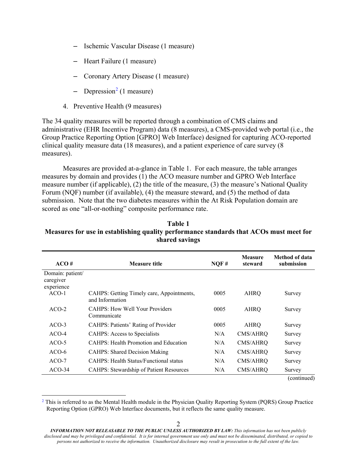- Ischemic Vascular Disease (1 measure)
- Heart Failure (1 measure)
- Coronary Artery Disease (1 measure)
- $-$  Depression<sup>[2](#page-5-1)</sup> (1 measure)
- 4. Preventive Health (9 measures)

<span id="page-5-2"></span>The 34 quality measures will be reported through a combination of CMS claims and administrative (EHR Incentive Program) data (8 measures), a CMS-provided web portal (i.e., the Group Practice Reporting Option [GPRO] Web Interface) designed for capturing ACO-reported clinical quality measure data (18 measures), and a patient experience of care survey (8 measures).

Measures are provided at-a-glance in Table 1. For each measure, the table arranges measures by domain and provides (1) the ACO measure number and GPRO Web Interface measure number (if applicable), (2) the title of the measure, (3) the measure's National Quality Forum (NQF) number (if available), (4) the measure steward, and (5) the method of data submission. Note that the two diabetes measures within the At Risk Population domain are scored as one "all-or-nothing" composite performance rate.

## <span id="page-5-0"></span>**Table 1 Measures for use in establishing quality performance standards that ACOs must meet for shared savings**

| ACO#                                        | Measure title                                                | NQF# | <b>Measure</b><br>steward | Method of data<br>submission |
|---------------------------------------------|--------------------------------------------------------------|------|---------------------------|------------------------------|
| Domain: patient/<br>caregiver<br>experience |                                                              |      |                           |                              |
| $ACO-1$                                     | CAHPS: Getting Timely care, Appointments,<br>and Information | 0005 | <b>AHRO</b>               | Survey                       |
| $ACO-2$                                     | CAHPS: How Well Your Providers<br>Communicate                | 0005 | <b>AHRO</b>               | Survey                       |
| $ACO-3$                                     | CAHPS: Patients' Rating of Provider                          | 0005 | <b>AHRO</b>               | Survey                       |
| $ACO-4$                                     | <b>CAHPS:</b> Access to Specialists                          | N/A  | CMS/AHRO                  | Survey                       |
| $ACO-5$                                     | CAHPS: Health Promotion and Education                        | N/A  | CMS/AHRQ                  | Survey                       |
| $ACO-6$                                     | <b>CAHPS: Shared Decision Making</b>                         | N/A  | CMS/AHRO                  | Survey                       |
| $ACO-7$                                     | CAHPS: Health Status/Functional status                       | N/A  | CMS/AHRQ                  | Survey                       |
| $ACO-34$                                    | <b>CAHPS:</b> Stewardship of Patient Resources               | N/A  | CMS/AHRO                  | Survey                       |
|                                             |                                                              |      |                           | (continued)                  |

<span id="page-5-1"></span><sup>&</sup>lt;sup>[2](#page-5-2)</sup> This is referred to as the Mental Health module in the Physician Quality Reporting System (PQRS) Group Practice Reporting Option (GPRO) Web Interface documents, but it reflects the same quality measure.

*INFORMATION NOT RELEASABLE TO THE PUBLIC UNLESS AUTHORIZED BY LAW: This information has not been publicly disclosed and may be privileged and confidential. It is for internal government use only and must not be disseminated, distributed, or copied to persons not authorized to receive the information. Unauthorized disclosure may result in prosecution to the full extent of the law.*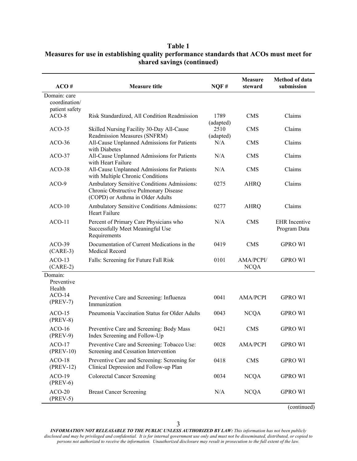| ACO#                                                      | <b>Measure title</b>                                                                                                     | NQF#              | <b>Measure</b><br>steward | Method of data<br>submission         |
|-----------------------------------------------------------|--------------------------------------------------------------------------------------------------------------------------|-------------------|---------------------------|--------------------------------------|
| Domain: care<br>coordination/<br>patient safety           |                                                                                                                          |                   |                           |                                      |
| $ACO-8$                                                   | Risk Standardized, All Condition Readmission                                                                             | 1789<br>(adapted) | <b>CMS</b>                | Claims                               |
| $ACO-35$                                                  | Skilled Nursing Facility 30-Day All-Cause<br>Readmission Measures (SNFRM)                                                | 2510<br>(adapted) | <b>CMS</b>                | Claims                               |
| $ACO-36$                                                  | All-Cause Unplanned Admissions for Patients<br>with Diabetes                                                             | N/A               | <b>CMS</b>                | Claims                               |
| $ACO-37$                                                  | All-Cause Unplanned Admissions for Patients<br>with Heart Failure                                                        | N/A               | <b>CMS</b>                | Claims                               |
| $ACO-38$                                                  | All-Cause Unplanned Admissions for Patients<br>with Multiple Chronic Conditions                                          | N/A               | <b>CMS</b>                | Claims                               |
| $ACO-9$                                                   | Ambulatory Sensitive Conditions Admissions:<br>Chronic Obstructive Pulmonary Disease<br>(COPD) or Asthma in Older Adults | 0275              | <b>AHRQ</b>               | Claims                               |
| $ACO-10$                                                  | Ambulatory Sensitive Conditions Admissions:<br><b>Heart Failure</b>                                                      | 0277              | <b>AHRQ</b>               | Claims                               |
| $ACO-11$                                                  | Percent of Primary Care Physicians who<br>Successfully Meet Meaningful Use<br>Requirements                               | N/A               | <b>CMS</b>                | <b>EHR</b> Incentive<br>Program Data |
| $ACO-39$<br>$(CARE-3)$                                    | Documentation of Current Medications in the<br><b>Medical Record</b>                                                     | 0419              | <b>CMS</b>                | <b>GPRO WI</b>                       |
| $ACO-13$<br>$(CARE-2)$                                    | Falls: Screening for Future Fall Risk                                                                                    | 0101              | AMA/PCPI/<br><b>NCQA</b>  | <b>GPRO WI</b>                       |
| Domain:<br>Preventive<br>Health<br>$ACO-14$<br>$(PREV-7)$ | Preventive Care and Screening: Influenza<br>Immunization                                                                 | 0041              | <b>AMA/PCPI</b>           | <b>GPRO WI</b>                       |
| $ACO-15$<br>$(PREV-8)$                                    | Pneumonia Vaccination Status for Older Adults                                                                            | 0043              | <b>NCQA</b>               | <b>GPRO WI</b>                       |
| $ACO-16$<br>$(PREV-9)$                                    | Preventive Care and Screening: Body Mass<br>Index Screening and Follow-Up                                                | 0421              | <b>CMS</b>                | <b>GPRO WI</b>                       |
| $ACO-17$<br>$(PREV-10)$                                   | Preventive Care and Screening: Tobacco Use:<br>Screening and Cessation Intervention                                      | 0028              | <b>AMA/PCPI</b>           | <b>GPRO WI</b>                       |
| $ACO-18$<br>$(PREV-12)$                                   | Preventive Care and Screening: Screening for<br>Clinical Depression and Follow-up Plan                                   | 0418              | <b>CMS</b>                | <b>GPRO WI</b>                       |
| $ACO-19$<br>$(PREV-6)$                                    | <b>Colorectal Cancer Screening</b>                                                                                       | 0034              | <b>NCQA</b>               | <b>GPRO WI</b>                       |
| $ACO-20$<br>$(PREV-5)$                                    | <b>Breast Cancer Screening</b>                                                                                           | N/A               | <b>NCQA</b>               | <b>GPRO WI</b>                       |

# **Table 1 Measures for use in establishing quality performance standards that ACOs must meet for shared savings (continued)**

(continued)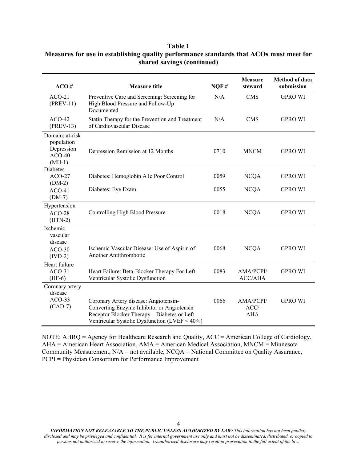## **Table 1 Measures for use in establishing quality performance standards that ACOs must meet for shared savings (continued)**

| ACO#                                                                | <b>Measure title</b>                                                                                                                                                              | NQF# | <b>Measure</b><br>steward       | Method of data<br>submission |
|---------------------------------------------------------------------|-----------------------------------------------------------------------------------------------------------------------------------------------------------------------------------|------|---------------------------------|------------------------------|
| $ACO-21$<br>$(PREV-11)$                                             | Preventive Care and Screening: Screening for<br>High Blood Pressure and Follow-Up<br>Documented                                                                                   | N/A  | <b>CMS</b>                      | <b>GPRO WI</b>               |
| $ACO-42$<br>$(PREV-13)$                                             | Statin Therapy for the Prevention and Treatment<br>of Cardiovascular Disease                                                                                                      | N/A  | <b>CMS</b>                      | <b>GPRO WI</b>               |
| Domain: at-risk<br>population<br>Depression<br>$ACO-40$<br>$(MH-1)$ | Depression Remission at 12 Months                                                                                                                                                 | 0710 | <b>MNCM</b>                     | <b>GPRO WI</b>               |
| <b>Diabetes</b><br>$ACO-27$<br>$(DM-2)$                             | Diabetes: Hemoglobin A1c Poor Control                                                                                                                                             | 0059 | <b>NCQA</b>                     | <b>GPRO WI</b>               |
| $ACO-41$<br>$(DM-7)$                                                | Diabetes: Eye Exam                                                                                                                                                                | 0055 | <b>NCQA</b>                     | <b>GPRO WI</b>               |
| Hypertension<br>$ACO-28$<br>$(HTN-2)$                               | Controlling High Blood Pressure                                                                                                                                                   | 0018 | <b>NCQA</b>                     | <b>GPRO WI</b>               |
| Ischemic<br>vascular<br>disease<br>$ACO-30$<br>$(IVD-2)$            | Ischemic Vascular Disease: Use of Aspirin of<br>Another Antithrombotic                                                                                                            | 0068 | <b>NCQA</b>                     | <b>GPRO WI</b>               |
| Heart failure<br>$ACO-31$<br>$(HF-6)$                               | Heart Failure: Beta-Blocker Therapy For Left<br>Ventricular Systolic Dysfunction                                                                                                  | 0083 | AMA/PCPI/<br><b>ACC/AHA</b>     | <b>GPRO WI</b>               |
| Coronary artery<br>disease<br>$ACO-33$<br>$(CAD-7)$                 | Coronary Artery disease: Angiotensin-<br>Converting Enzyme Inhibitor or Angiotensin<br>Receptor Blocker Therapy-Diabetes or Left<br>Ventricular Systolic Dysfunction (LVEF < 40%) | 0066 | AMA/PCPI/<br>ACC/<br><b>AHA</b> | <b>GPRO WI</b>               |

NOTE: AHRQ = Agency for Healthcare Research and Quality, ACC = American College of Cardiology, AHA = American Heart Association, AMA = American Medical Association, MNCM = Minnesota Community Measurement, N/A = not available, NCQA = National Committee on Quality Assurance, PCPI = Physician Consortium for Performance Improvement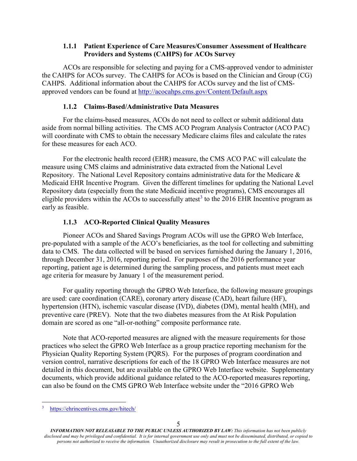## **1.1.1 Patient Experience of Care Measures/Consumer Assessment of Healthcare Providers and Systems (CAHPS) for ACOs Survey**

<span id="page-8-0"></span>ACOs are responsible for selecting and paying for a CMS-approved vendor to administer the CAHPS for ACOs survey. The CAHPS for ACOs is based on the Clinician and Group (CG) CAHPS. Additional information about the CAHPS for ACOs survey and the list of CMSapproved vendors can be found at<http://acocahps.cms.gov/Content/Default.aspx>

## **1.1.2 Claims-Based/Administrative Data Measures**

<span id="page-8-1"></span>For the claims-based measures, ACOs do not need to collect or submit additional data aside from normal billing activities. The CMS ACO Program Analysis Contractor (ACO PAC) will coordinate with CMS to obtain the necessary Medicare claims files and calculate the rates for these measures for each ACO.

For the electronic health record (EHR) measure, the CMS ACO PAC will calculate the measure using CMS claims and administrative data extracted from the National Level Repository. The National Level Repository contains administrative data for the Medicare & Medicaid EHR Incentive Program. Given the different timelines for updating the National Level Repository data (especially from the state Medicaid incentive programs), CMS encourages all eligible providers within the ACOs to successfully attest<sup>[3](#page-8-3)</sup> to the 2016 EHR Incentive program as early as feasible.

# **1.1.3 ACO-Reported Clinical Quality Measures**

<span id="page-8-4"></span><span id="page-8-2"></span>Pioneer ACOs and Shared Savings Program ACOs will use the GPRO Web Interface, pre-populated with a sample of the ACO's beneficiaries, as the tool for collecting and submitting data to CMS. The data collected will be based on services furnished during the January 1, 2016, through December 31, 2016, reporting period. For purposes of the 2016 performance year reporting, patient age is determined during the sampling process, and patients must meet each age criteria for measure by January 1 of the measurement period.

For quality reporting through the GPRO Web Interface, the following measure groupings are used: care coordination (CARE), coronary artery disease (CAD), heart failure (HF), hypertension (HTN), ischemic vascular disease (IVD), diabetes (DM), mental health (MH), and preventive care (PREV). Note that the two diabetes measures from the At Risk Population domain are scored as one "all-or-nothing" composite performance rate.

Note that ACO-reported measures are aligned with the measure requirements for those practices who select the GPRO Web Interface as a group practice reporting mechanism for the Physician Quality Reporting System (PQRS). For the purposes of program coordination and version control, narrative descriptions for each of the 18 GPRO Web Interface measures are not detailed in this document, but are available on the GPRO Web Interface website. Supplementary documents, which provide additional guidance related to the ACO-reported measures reporting, can also be found on the CMS GPRO Web Interface website under the "2016 GPRO Web

<span id="page-8-3"></span> $\overline{a}$ [3](#page-8-4) <https://ehrincentives.cms.gov/hitech/>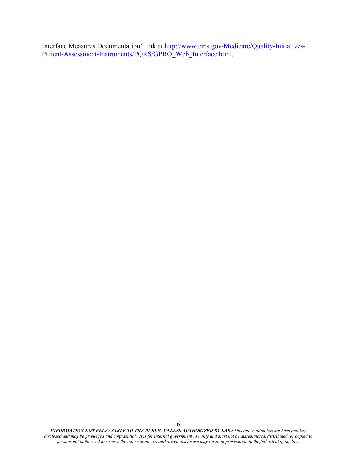Interface Measures Documentation" link at [http://www.cms.gov/Medicare/Quality-Initiatives-](http://www.cms.gov/Medicare/Quality-Initiatives-Patient-Assessment-Instruments/PQRS/GPRO_Web_Interface.html)[Patient-Assessment-Instruments/PQRS/GPRO\\_Web\\_Interface.html.](http://www.cms.gov/Medicare/Quality-Initiatives-Patient-Assessment-Instruments/PQRS/GPRO_Web_Interface.html)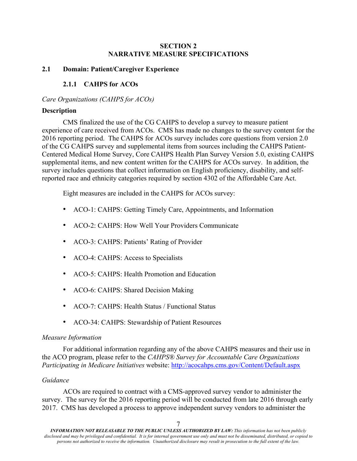## **SECTION 2 NARRATIVE MEASURE SPECIFICATIONS**

## <span id="page-10-2"></span><span id="page-10-1"></span><span id="page-10-0"></span>**2.1 Domain: Patient/Caregiver Experience**

## **2.1.1 CAHPS for ACOs**

*Care Organizations (CAHPS for ACOs)*

## **Description**

CMS finalized the use of the CG CAHPS to develop a survey to measure patient experience of care received from ACOs. CMS has made no changes to the survey content for the 2016 reporting period. The CAHPS for ACOs survey includes core questions from version 2.0 of the CG CAHPS survey and supplemental items from sources including the CAHPS Patient-Centered Medical Home Survey, Core CAHPS Health Plan Survey Version 5.0, existing CAHPS supplemental items, and new content written for the CAHPS for ACOs survey. In addition, the survey includes questions that collect information on English proficiency, disability, and selfreported race and ethnicity categories required by section 4302 of the Affordable Care Act.

Eight measures are included in the CAHPS for ACOs survey:

- ACO-1: CAHPS: Getting Timely Care, Appointments, and Information
- ACO-2: CAHPS: How Well Your Providers Communicate
- ACO-3: CAHPS: Patients' Rating of Provider
- ACO-4: CAHPS: Access to Specialists
- ACO-5: CAHPS: Health Promotion and Education
- ACO-6: CAHPS: Shared Decision Making
- ACO-7: CAHPS: Health Status / Functional Status
- ACO-34: CAHPS: Stewardship of Patient Resources

## *Measure Information*

For additional information regarding any of the above CAHPS measures and their use in the ACO program, please refer to the *CAHPS® Survey for Accountable Care Organizations Participating in Medicare Initiatives* website:<http://acocahps.cms.gov/Content/Default.aspx>

## *Guidance*

ACOs are required to contract with a CMS-approved survey vendor to administer the survey. The survey for the 2016 reporting period will be conducted from late 2016 through early 2017. CMS has developed a process to approve independent survey vendors to administer the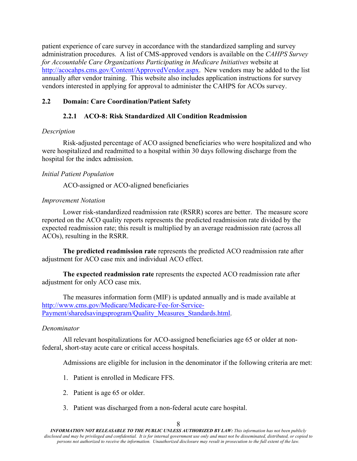patient experience of care survey in accordance with the standardized sampling and survey administration procedures. A list of CMS-approved vendors is available on the *CAHPS Survey for Accountable Care Organizations Participating in Medicare Initiatives* website at [http://acocahps.cms.gov/Content/ApprovedVendor.aspx.](http://acocahps.cms.gov/Content/ApprovedVendor.aspx) New vendors may be added to the list annually after vendor training. This website also includes application instructions for survey vendors interested in applying for approval to administer the CAHPS for ACOs survey.

# <span id="page-11-1"></span><span id="page-11-0"></span>**2.2 Domain: Care Coordination/Patient Safety**

# **2.2.1 ACO-8: Risk Standardized All Condition Readmission**

# *Description*

Risk-adjusted percentage of ACO assigned beneficiaries who were hospitalized and who were hospitalized and readmitted to a hospital within 30 days following discharge from the hospital for the index admission.

# *Initial Patient Population*

ACO-assigned or ACO-aligned beneficiaries

# *Improvement Notation*

Lower risk-standardized readmission rate (RSRR) scores are better. The measure score reported on the ACO quality reports represents the predicted readmission rate divided by the expected readmission rate; this result is multiplied by an average readmission rate (across all ACOs), resulting in the RSRR.

**The predicted readmission rate** represents the predicted ACO readmission rate after adjustment for ACO case mix and individual ACO effect.

**The expected readmission rate** represents the expected ACO readmission rate after adjustment for only ACO case mix.

The measures information form (MIF) is updated annually and is made available at [http://www.cms.gov/Medicare/Medicare-Fee-for-Service-](http://www.cms.gov/Medicare/Medicare-Fee-for-Service-Payment/sharedsavingsprogram/Quality_Measures_Standards.html)[Payment/sharedsavingsprogram/Quality\\_Measures\\_Standards.html.](http://www.cms.gov/Medicare/Medicare-Fee-for-Service-Payment/sharedsavingsprogram/Quality_Measures_Standards.html)

# *Denominator*

All relevant hospitalizations for ACO-assigned beneficiaries age 65 or older at nonfederal, short-stay acute care or critical access hospitals.

Admissions are eligible for inclusion in the denominator if the following criteria are met:

- 1. Patient is enrolled in Medicare FFS.
- 2. Patient is age 65 or older.
- 3. Patient was discharged from a non-federal acute care hospital.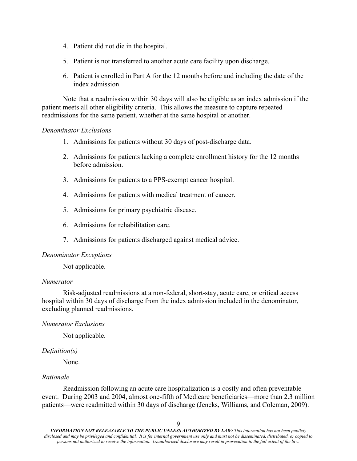- 4. Patient did not die in the hospital.
- 5. Patient is not transferred to another acute care facility upon discharge.
- 6. Patient is enrolled in Part A for the 12 months before and including the date of the index admission.

Note that a readmission within 30 days will also be eligible as an index admission if the patient meets all other eligibility criteria. This allows the measure to capture repeated readmissions for the same patient, whether at the same hospital or another.

#### *Denominator Exclusions*

- 1. Admissions for patients without 30 days of post-discharge data.
- 2. Admissions for patients lacking a complete enrollment history for the 12 months before admission.
- 3. Admissions for patients to a PPS-exempt cancer hospital.
- 4. Admissions for patients with medical treatment of cancer.
- 5. Admissions for primary psychiatric disease.
- 6. Admissions for rehabilitation care.
- 7. Admissions for patients discharged against medical advice.

#### *Denominator Exceptions*

Not applicable.

#### *Numerator*

Risk-adjusted readmissions at a non-federal, short-stay, acute care, or critical access hospital within 30 days of discharge from the index admission included in the denominator, excluding planned readmissions.

#### *Numerator Exclusions*

Not applicable.

#### *Definition(s)*

None.

#### *Rationale*

Readmission following an acute care hospitalization is a costly and often preventable event. During 2003 and 2004, almost one-fifth of Medicare beneficiaries—more than 2.3 million patients—were readmitted within 30 days of discharge (Jencks, Williams, and Coleman, 2009).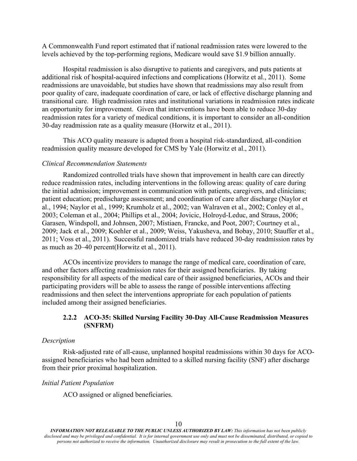A Commonwealth Fund report estimated that if national readmission rates were lowered to the levels achieved by the top-performing regions, Medicare would save \$1.9 billion annually.

Hospital readmission is also disruptive to patients and caregivers, and puts patients at additional risk of hospital-acquired infections and complications (Horwitz et al., 2011). Some readmissions are unavoidable, but studies have shown that readmissions may also result from poor quality of care, inadequate coordination of care, or lack of effective discharge planning and transitional care. High readmission rates and institutional variations in readmission rates indicate an opportunity for improvement. Given that interventions have been able to reduce 30-day readmission rates for a variety of medical conditions, it is important to consider an all-condition 30-day readmission rate as a quality measure (Horwitz et al., 2011).

This ACO quality measure is adapted from a hospital risk-standardized, all-condition readmission quality measure developed for CMS by Yale (Horwitz et al., 2011).

## *Clinical Recommendation Statements*

Randomized controlled trials have shown that improvement in health care can directly reduce readmission rates, including interventions in the following areas: quality of care during the initial admission; improvement in communication with patients, caregivers, and clinicians; patient education; predischarge assessment; and coordination of care after discharge (Naylor et al., 1994; Naylor et al., 1999; Krumholz et al., 2002; van Walraven et al., 2002; Conley et al., 2003; Coleman et al., 2004; Phillips et al., 2004; Jovicic, Holroyd-Leduc, and Straus, 2006; Garasen, Windspoll, and Johnsen, 2007; Mistiaen, Francke, and Poot, 2007; Courtney et al., 2009; Jack et al., 2009; Koehler et al., 2009; Weiss, Yakusheva, and Bobay, 2010; Stauffer et al., 2011; Voss et al., 2011). Successful randomized trials have reduced 30-day readmission rates by as much as 20–40 percent(Horwitz et al., 2011).

ACOs incentivize providers to manage the range of medical care, coordination of care, and other factors affecting readmission rates for their assigned beneficiaries. By taking responsibility for all aspects of the medical care of their assigned beneficiaries, ACOs and their participating providers will be able to assess the range of possible interventions affecting readmissions and then select the interventions appropriate for each population of patients included among their assigned beneficiaries.

## **2.2.2 ACO-35: Skilled Nursing Facility 30-Day All-Cause Readmission Measures (SNFRM)**

#### <span id="page-13-0"></span>*Description*

Risk-adjusted rate of all-cause, unplanned hospital readmissions within 30 days for ACOassigned beneficiaries who had been admitted to a skilled nursing facility (SNF) after discharge from their prior proximal hospitalization.

#### *Initial Patient Population*

ACO assigned or aligned beneficiaries.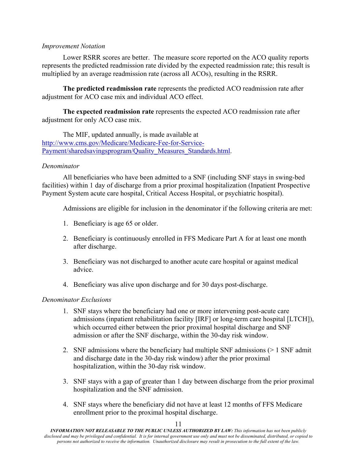## *Improvement Notation*

Lower RSRR scores are better. The measure score reported on the ACO quality reports represents the predicted readmission rate divided by the expected readmission rate; this result is multiplied by an average readmission rate (across all ACOs), resulting in the RSRR.

**The predicted readmission rate** represents the predicted ACO readmission rate after adjustment for ACO case mix and individual ACO effect.

**The expected readmission rate** represents the expected ACO readmission rate after adjustment for only ACO case mix.

The MIF, updated annually, is made available at [http://www.cms.gov/Medicare/Medicare-Fee-for-Service-](http://www.cms.gov/Medicare/Medicare-Fee-for-Service-Payment/sharedsavingsprogram/Quality_Measures_Standards.html)[Payment/sharedsavingsprogram/Quality\\_Measures\\_Standards.html.](http://www.cms.gov/Medicare/Medicare-Fee-for-Service-Payment/sharedsavingsprogram/Quality_Measures_Standards.html)

## *Denominator*

All beneficiaries who have been admitted to a SNF (including SNF stays in swing-bed facilities) within 1 day of discharge from a prior proximal hospitalization (Inpatient Prospective Payment System acute care hospital, Critical Access Hospital, or psychiatric hospital).

Admissions are eligible for inclusion in the denominator if the following criteria are met:

- 1. Beneficiary is age 65 or older.
- 2. Beneficiary is continuously enrolled in FFS Medicare Part A for at least one month after discharge.
- 3. Beneficiary was not discharged to another acute care hospital or against medical advice.
- 4. Beneficiary was alive upon discharge and for 30 days post-discharge.

## *Denominator Exclusions*

- 1. SNF stays where the beneficiary had one or more intervening post-acute care admissions (inpatient rehabilitation facility [IRF] or long-term care hospital [LTCH]), which occurred either between the prior proximal hospital discharge and SNF admission or after the SNF discharge, within the 30-day risk window.
- 2. SNF admissions where the beneficiary had multiple SNF admissions (> 1 SNF admit and discharge date in the 30-day risk window) after the prior proximal hospitalization, within the 30-day risk window.
- 3. SNF stays with a gap of greater than 1 day between discharge from the prior proximal hospitalization and the SNF admission.
- 4. SNF stays where the beneficiary did not have at least 12 months of FFS Medicare enrollment prior to the proximal hospital discharge.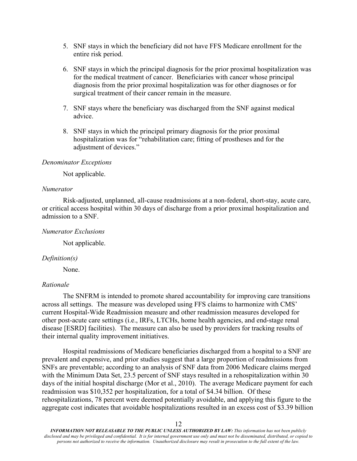- 5. SNF stays in which the beneficiary did not have FFS Medicare enrollment for the entire risk period.
- 6. SNF stays in which the principal diagnosis for the prior proximal hospitalization was for the medical treatment of cancer. Beneficiaries with cancer whose principal diagnosis from the prior proximal hospitalization was for other diagnoses or for surgical treatment of their cancer remain in the measure.
- 7. SNF stays where the beneficiary was discharged from the SNF against medical advice.
- 8. SNF stays in which the principal primary diagnosis for the prior proximal hospitalization was for "rehabilitation care; fitting of prostheses and for the adjustment of devices."

## *Denominator Exceptions*

Not applicable.

#### *Numerator*

Risk-adjusted, unplanned, all-cause readmissions at a non-federal, short-stay, acute care, or critical access hospital within 30 days of discharge from a prior proximal hospitalization and admission to a SNF.

#### *Numerator Exclusions*

Not applicable.

#### *Definition(s)*

None.

#### *Rationale*

The SNFRM is intended to promote shared accountability for improving care transitions across all settings. The measure was developed using FFS claims to harmonize with CMS' current Hospital-Wide Readmission measure and other readmission measures developed for other post-acute care settings (i.e., IRFs, LTCHs, home health agencies, and end-stage renal disease [ESRD] facilities). The measure can also be used by providers for tracking results of their internal quality improvement initiatives.

Hospital readmissions of Medicare beneficiaries discharged from a hospital to a SNF are prevalent and expensive, and prior studies suggest that a large proportion of readmissions from SNFs are preventable; according to an analysis of SNF data from 2006 Medicare claims merged with the Minimum Data Set, 23.5 percent of SNF stays resulted in a rehospitalization within 30 days of the initial hospital discharge (Mor et al., 2010). The average Medicare payment for each readmission was \$10,352 per hospitalization, for a total of \$4.34 billion. Of these rehospitalizations, 78 percent were deemed potentially avoidable, and applying this figure to the aggregate cost indicates that avoidable hospitalizations resulted in an excess cost of \$3.39 billion

<sup>12</sup>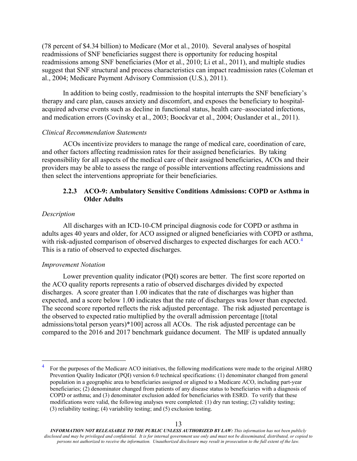(78 percent of \$4.34 billion) to Medicare (Mor et al., 2010). Several analyses of hospital readmissions of SNF beneficiaries suggest there is opportunity for reducing hospital readmissions among SNF beneficiaries (Mor et al., 2010; Li et al., 2011), and multiple studies suggest that SNF structural and process characteristics can impact readmission rates (Coleman et al., 2004; Medicare Payment Advisory Commission (U.S.), 2011).

In addition to being costly, readmission to the hospital interrupts the SNF beneficiary's therapy and care plan, causes anxiety and discomfort, and exposes the beneficiary to hospitalacquired adverse events such as decline in functional status, health care–associated infections, and medication errors (Covinsky et al., 2003; Boockvar et al., 2004; Ouslander et al., 2011).

#### *Clinical Recommendation Statements*

ACOs incentivize providers to manage the range of medical care, coordination of care, and other factors affecting readmission rates for their assigned beneficiaries. By taking responsibility for all aspects of the medical care of their assigned beneficiaries, ACOs and their providers may be able to assess the range of possible interventions affecting readmissions and then select the interventions appropriate for their beneficiaries.

## **2.2.3 ACO-9: Ambulatory Sensitive Conditions Admissions: COPD or Asthma in Older Adults**

#### <span id="page-16-0"></span>*Description*

 $\overline{a}$ 

<span id="page-16-2"></span>All discharges with an ICD-10-CM principal diagnosis code for COPD or asthma in adults ages 40 years and older, for ACO assigned or aligned beneficiaries with COPD or asthma, with risk-adjusted comparison of observed discharges to expected discharges for each ACO.<sup>[4](#page-16-1)</sup> This is a ratio of observed to expected discharges.

#### *Improvement Notation*

Lower prevention quality indicator (PQI) scores are better. The first score reported on the ACO quality reports represents a ratio of observed discharges divided by expected discharges. A score greater than 1.00 indicates that the rate of discharges was higher than expected, and a score below 1.00 indicates that the rate of discharges was lower than expected. The second score reported reflects the risk adjusted percentage. The risk adjusted percentage is the observed to expected ratio multiplied by the overall admission percentage [(total admissions/total person years)\*100] across all ACOs. The risk adjusted percentage can be compared to the 2016 and 2017 benchmark guidance document. The MIF is updated annually

<span id="page-16-1"></span>[<sup>4</sup>](#page-16-2) For the purposes of the Medicare ACO initiatives, the following modifications were made to the original AHRQ Prevention Quality Indicator (PQI) version 6.0 technical specifications: (1) denominator changed from general population in a geographic area to beneficiaries assigned or aligned to a Medicare ACO, including part-year beneficiaries; (2) denominator changed from patients of any disease status to beneficiaries with a diagnosis of COPD or asthma; and (3) denominator exclusion added for beneficiaries with ESRD. To verify that these modifications were valid, the following analyses were completed: (1) dry run testing; (2) validity testing; (3) reliability testing; (4) variability testing; and (5) exclusion testing.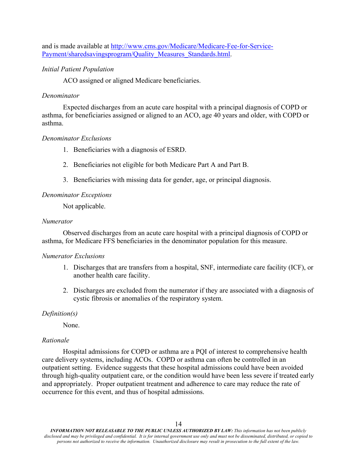and is made available at [http://www.cms.gov/Medicare/Medicare-Fee-for-Service-](http://www.cms.gov/Medicare/Medicare-Fee-for-Service-Payment/sharedsavingsprogram/Quality_Measures_Standards.html)[Payment/sharedsavingsprogram/Quality\\_Measures\\_Standards.html.](http://www.cms.gov/Medicare/Medicare-Fee-for-Service-Payment/sharedsavingsprogram/Quality_Measures_Standards.html)

#### *Initial Patient Population*

ACO assigned or aligned Medicare beneficiaries.

#### *Denominator*

Expected discharges from an acute care hospital with a principal diagnosis of COPD or asthma, for beneficiaries assigned or aligned to an ACO, age 40 years and older, with COPD or asthma.

#### *Denominator Exclusions*

1. Beneficiaries with a diagnosis of ESRD.

- 2. Beneficiaries not eligible for both Medicare Part A and Part B.
- 3. Beneficiaries with missing data for gender, age, or principal diagnosis.

## *Denominator Exceptions*

Not applicable.

#### *Numerator*

Observed discharges from an acute care hospital with a principal diagnosis of COPD or asthma, for Medicare FFS beneficiaries in the denominator population for this measure.

## *Numerator Exclusions*

- 1. Discharges that are transfers from a hospital, SNF, intermediate care facility (ICF), or another health care facility.
- 2. Discharges are excluded from the numerator if they are associated with a diagnosis of cystic fibrosis or anomalies of the respiratory system.

## *Definition(s)*

None.

## *Rationale*

Hospital admissions for COPD or asthma are a PQI of interest to comprehensive health care delivery systems, including ACOs. COPD or asthma can often be controlled in an outpatient setting. Evidence suggests that these hospital admissions could have been avoided through high-quality outpatient care, or the condition would have been less severe if treated early and appropriately. Proper outpatient treatment and adherence to care may reduce the rate of occurrence for this event, and thus of hospital admissions.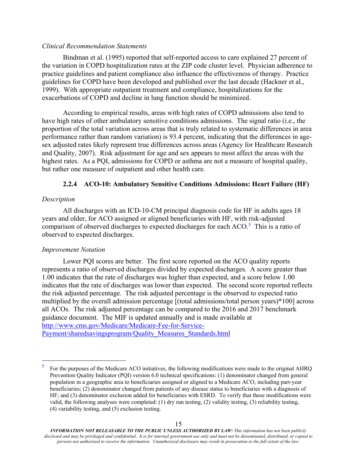#### *Clinical Recommendation Statements*

Bindman et al. (1995) reported that self-reported access to care explained 27 percent of the variation in COPD hospitalization rates at the ZIP code cluster level. Physician adherence to practice guidelines and patient compliance also influence the effectiveness of therapy. Practice guidelines for COPD have been developed and published over the last decade (Hackner et al., 1999). With appropriate outpatient treatment and compliance, hospitalizations for the exacerbations of COPD and decline in lung function should be minimized.

According to empirical results, areas with high rates of COPD admissions also tend to have high rates of other ambulatory sensitive conditions admissions. The signal ratio (i.e., the proportion of the total variation across areas that is truly related to systematic differences in area performance rather than random variation) is 93.4 percent, indicating that the differences in agesex adjusted rates likely represent true differences across areas (Agency for Healthcare Research and Quality, 2007). Risk adjustment for age and sex appears to most affect the areas with the highest rates. As a PQI, admissions for COPD or asthma are not a measure of hospital quality, but rather one measure of outpatient and other health care.

#### **2.2.4 ACO-10: Ambulatory Sensitive Conditions Admissions: Heart Failure (HF)**

#### <span id="page-18-0"></span>*Description*

 $\overline{a}$ 

<span id="page-18-2"></span>All discharges with an ICD-10-CM principal diagnosis code for HF in adults ages 18 years and older, for ACO assigned or aligned beneficiaries with HF, with risk-adjusted comparison of observed discharges to expected discharges for each  $ACO$ .<sup>[5](#page-18-1)</sup> This is a ratio of observed to expected discharges.

#### *Improvement Notation*

Lower PQI scores are better. The first score reported on the ACO quality reports represents a ratio of observed discharges divided by expected discharges. A score greater than 1.00 indicates that the rate of discharges was higher than expected, and a score below 1.00 indicates that the rate of discharges was lower than expected. The second score reported reflects the risk adjusted percentage. The risk adjusted percentage is the observed to expected ratio multiplied by the overall admission percentage [(total admissions/total person years)\*100] across all ACOs. The risk adjusted percentage can be compared to the 2016 and 2017 benchmark guidance document. The MIF is updated annually and is made available at [http://www.cms.gov/Medicare/Medicare-Fee-for-Service-](http://www.cms.gov/Medicare/Medicare-Fee-for-Service-Payment/sharedsavingsprogram/Quality_Measures_Standards.html)[Payment/sharedsavingsprogram/Quality\\_Measures\\_Standards.html](http://www.cms.gov/Medicare/Medicare-Fee-for-Service-Payment/sharedsavingsprogram/Quality_Measures_Standards.html)

<span id="page-18-1"></span>[<sup>5</sup>](#page-18-2) For the purposes of the Medicare ACO initiatives, the following modifications were made to the original AHRQ Prevention Quality Indicator (PQI) version 6.0 technical specifications: (1) denominator changed from general population in a geographic area to beneficiaries assigned or aligned to a Medicare ACO, including part-year beneficiaries; (2) denominator changed from patients of any disease status to beneficiaries with a diagnosis of HF; and (3) denominator exclusion added for beneficiaries with ESRD. To verify that these modifications were valid, the following analyses were completed: (1) dry run testing, (2) validity testing, (3) reliability testing, (4) variability testing, and (5) exclusion testing.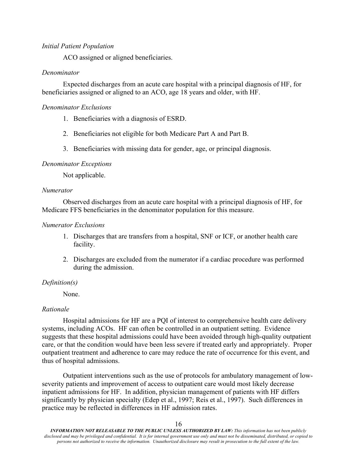#### *Initial Patient Population*

ACO assigned or aligned beneficiaries.

#### *Denominator*

Expected discharges from an acute care hospital with a principal diagnosis of HF, for beneficiaries assigned or aligned to an ACO, age 18 years and older, with HF.

#### *Denominator Exclusions*

- 1. Beneficiaries with a diagnosis of ESRD.
- 2. Beneficiaries not eligible for both Medicare Part A and Part B.
- 3. Beneficiaries with missing data for gender, age, or principal diagnosis.

#### *Denominator Exceptions*

Not applicable.

#### *Numerator*

Observed discharges from an acute care hospital with a principal diagnosis of HF, for Medicare FFS beneficiaries in the denominator population for this measure.

#### *Numerator Exclusions*

- 1. Discharges that are transfers from a hospital, SNF or ICF, or another health care facility.
- 2. Discharges are excluded from the numerator if a cardiac procedure was performed during the admission.

## *Definition(s)*

None.

## *Rationale*

Hospital admissions for HF are a PQI of interest to comprehensive health care delivery systems, including ACOs. HF can often be controlled in an outpatient setting. Evidence suggests that these hospital admissions could have been avoided through high-quality outpatient care, or that the condition would have been less severe if treated early and appropriately. Proper outpatient treatment and adherence to care may reduce the rate of occurrence for this event, and thus of hospital admissions.

Outpatient interventions such as the use of protocols for ambulatory management of lowseverity patients and improvement of access to outpatient care would most likely decrease inpatient admissions for HF. In addition, physician management of patients with HF differs significantly by physician specialty (Edep et al., 1997; Reis et al., 1997). Such differences in practice may be reflected in differences in HF admission rates.

16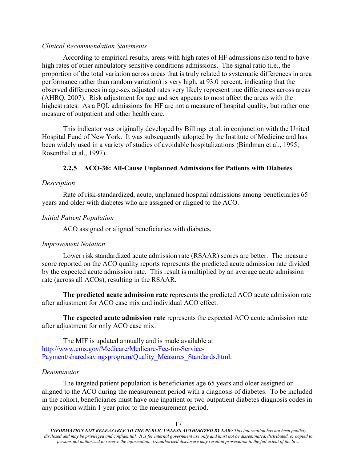#### *Clinical Recommendation Statements*

According to empirical results, areas with high rates of HF admissions also tend to have high rates of other ambulatory sensitive conditions admissions. The signal ratio (i.e., the proportion of the total variation across areas that is truly related to systematic differences in area performance rather than random variation) is very high, at 93.0 percent, indicating that the observed differences in age-sex adjusted rates very likely represent true differences across areas (AHRQ, 2007). Risk adjustment for age and sex appears to most affect the areas with the highest rates. As a PQI, admissions for HF are not a measure of hospital quality, but rather one measure of outpatient and other health care.

This indicator was originally developed by Billings et al. in conjunction with the United Hospital Fund of New York. It was subsequently adopted by the Institute of Medicine and has been widely used in a variety of studies of avoidable hospitalizations (Bindman et al., 1995; Rosenthal et al., 1997).

## **2.2.5 ACO-36: All-Cause Unplanned Admissions for Patients with Diabetes**

## <span id="page-20-0"></span>*Description*

Rate of risk-standardized, acute, unplanned hospital admissions among beneficiaries 65 years and older with diabetes who are assigned or aligned to the ACO.

## *Initial Patient Population*

ACO assigned or aligned beneficiaries with diabetes.

## *Improvement Notation*

Lower risk standardized acute admission rate (RSAAR) scores are better. The measure score reported on the ACO quality reports represents the predicted acute admission rate divided by the expected acute admission rate. This result is multiplied by an average acute admission rate (across all ACOs), resulting in the RSAAR.

**The predicted acute admission rate** represents the predicted ACO acute admission rate after adjustment for ACO case mix and individual ACO effect.

**The expected acute admission rate** represents the expected ACO acute admission rate after adjustment for only ACO case mix.

The MIF is updated annually and is made available at [http://www.cms.gov/Medicare/Medicare-Fee-for-Service-](http://www.cms.gov/Medicare/Medicare-Fee-for-Service-Payment/sharedsavingsprogram/Quality_Measures_Standards.html)[Payment/sharedsavingsprogram/Quality\\_Measures\\_Standards.html.](http://www.cms.gov/Medicare/Medicare-Fee-for-Service-Payment/sharedsavingsprogram/Quality_Measures_Standards.html)

## *Denominator*

The targeted patient population is beneficiaries age 65 years and older assigned or aligned to the ACO during the measurement period with a diagnosis of diabetes. To be included in the cohort, beneficiaries must have one inpatient or two outpatient diabetes diagnosis codes in any position within 1 year prior to the measurement period.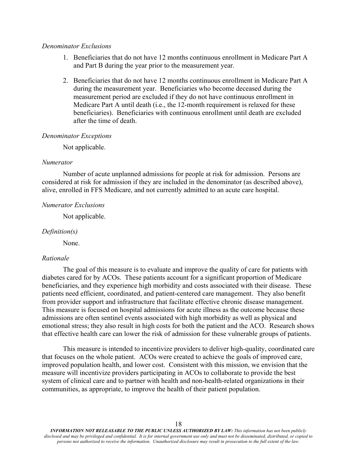#### *Denominator Exclusions*

- 1. Beneficiaries that do not have 12 months continuous enrollment in Medicare Part A and Part B during the year prior to the measurement year.
- 2. Beneficiaries that do not have 12 months continuous enrollment in Medicare Part A during the measurement year. Beneficiaries who become deceased during the measurement period are excluded if they do not have continuous enrollment in Medicare Part A until death (i.e., the 12-month requirement is relaxed for these beneficiaries). Beneficiaries with continuous enrollment until death are excluded after the time of death.

#### *Denominator Exceptions*

Not applicable.

#### *Numerator*

Number of acute unplanned admissions for people at risk for admission. Persons are considered at risk for admission if they are included in the denominator (as described above), alive, enrolled in FFS Medicare, and not currently admitted to an acute care hospital.

## *Numerator Exclusions*

Not applicable.

#### *Definition(s)*

None.

## *Rationale*

The goal of this measure is to evaluate and improve the quality of care for patients with diabetes cared for by ACOs. These patients account for a significant proportion of Medicare beneficiaries, and they experience high morbidity and costs associated with their disease. These patients need efficient, coordinated, and patient-centered care management. They also benefit from provider support and infrastructure that facilitate effective chronic disease management. This measure is focused on hospital admissions for acute illness as the outcome because these admissions are often sentinel events associated with high morbidity as well as physical and emotional stress; they also result in high costs for both the patient and the ACO. Research shows that effective health care can lower the risk of admission for these vulnerable groups of patients.

This measure is intended to incentivize providers to deliver high-quality, coordinated care that focuses on the whole patient. ACOs were created to achieve the goals of improved care, improved population health, and lower cost. Consistent with this mission, we envision that the measure will incentivize providers participating in ACOs to collaborate to provide the best system of clinical care and to partner with health and non-health-related organizations in their communities, as appropriate, to improve the health of their patient population.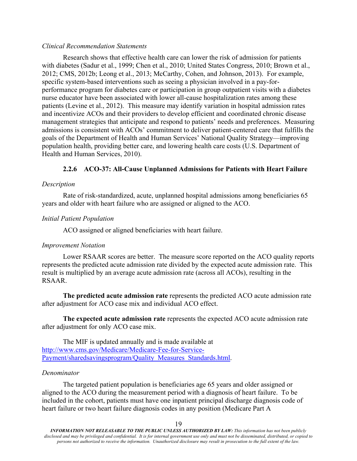#### *Clinical Recommendation Statements*

Research shows that effective health care can lower the risk of admission for patients with diabetes (Sadur et al., 1999; Chen et al., 2010; United States Congress, 2010; Brown et al., 2012; CMS, 2012b; Leong et al., 2013; McCarthy, Cohen, and Johnson, 2013). For example, specific system-based interventions such as seeing a physician involved in a pay-forperformance program for diabetes care or participation in group outpatient visits with a diabetes nurse educator have been associated with lower all-cause hospitalization rates among these patients (Levine et al., 2012). This measure may identify variation in hospital admission rates and incentivize ACOs and their providers to develop efficient and coordinated chronic disease management strategies that anticipate and respond to patients' needs and preferences. Measuring admissions is consistent with ACOs' commitment to deliver patient-centered care that fulfills the goals of the Department of Health and Human Services' National Quality Strategy—improving population health, providing better care, and lowering health care costs (U.S. Department of Health and Human Services, 2010).

## **2.2.6 ACO-37: All-Cause Unplanned Admissions for Patients with Heart Failure**

## <span id="page-22-0"></span>*Description*

Rate of risk-standardized, acute, unplanned hospital admissions among beneficiaries 65 years and older with heart failure who are assigned or aligned to the ACO.

## *Initial Patient Population*

ACO assigned or aligned beneficiaries with heart failure.

## *Improvement Notation*

Lower RSAAR scores are better. The measure score reported on the ACO quality reports represents the predicted acute admission rate divided by the expected acute admission rate. This result is multiplied by an average acute admission rate (across all ACOs), resulting in the RSAAR.

**The predicted acute admission rate** represents the predicted ACO acute admission rate after adjustment for ACO case mix and individual ACO effect.

**The expected acute admission rate** represents the expected ACO acute admission rate after adjustment for only ACO case mix.

The MIF is updated annually and is made available at [http://www.cms.gov/Medicare/Medicare-Fee-for-Service-](http://www.cms.gov/Medicare/Medicare-Fee-for-Service-Payment/sharedsavingsprogram/Quality_Measures_Standards.html)[Payment/sharedsavingsprogram/Quality\\_Measures\\_Standards.html.](http://www.cms.gov/Medicare/Medicare-Fee-for-Service-Payment/sharedsavingsprogram/Quality_Measures_Standards.html)

## *Denominator*

The targeted patient population is beneficiaries age 65 years and older assigned or aligned to the ACO during the measurement period with a diagnosis of heart failure. To be included in the cohort, patients must have one inpatient principal discharge diagnosis code of heart failure or two heart failure diagnosis codes in any position (Medicare Part A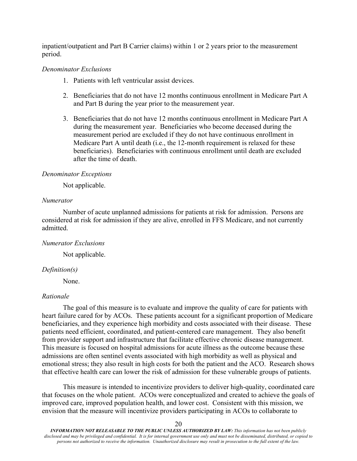inpatient/outpatient and Part B Carrier claims) within 1 or 2 years prior to the measurement period.

#### *Denominator Exclusions*

- 1. Patients with left ventricular assist devices.
- 2. Beneficiaries that do not have 12 months continuous enrollment in Medicare Part A and Part B during the year prior to the measurement year.
- 3. Beneficiaries that do not have 12 months continuous enrollment in Medicare Part A during the measurement year. Beneficiaries who become deceased during the measurement period are excluded if they do not have continuous enrollment in Medicare Part A until death (i.e., the 12-month requirement is relaxed for these beneficiaries). Beneficiaries with continuous enrollment until death are excluded after the time of death.

## *Denominator Exceptions*

Not applicable.

#### *Numerator*

Number of acute unplanned admissions for patients at risk for admission. Persons are considered at risk for admission if they are alive, enrolled in FFS Medicare, and not currently admitted.

## *Numerator Exclusions*

Not applicable.

#### *Definition(s)*

None.

## *Rationale*

The goal of this measure is to evaluate and improve the quality of care for patients with heart failure cared for by ACOs. These patients account for a significant proportion of Medicare beneficiaries, and they experience high morbidity and costs associated with their disease. These patients need efficient, coordinated, and patient-centered care management. They also benefit from provider support and infrastructure that facilitate effective chronic disease management. This measure is focused on hospital admissions for acute illness as the outcome because these admissions are often sentinel events associated with high morbidity as well as physical and emotional stress; they also result in high costs for both the patient and the ACO. Research shows that effective health care can lower the risk of admission for these vulnerable groups of patients.

This measure is intended to incentivize providers to deliver high-quality, coordinated care that focuses on the whole patient. ACOs were conceptualized and created to achieve the goals of improved care, improved population health, and lower cost. Consistent with this mission, we envision that the measure will incentivize providers participating in ACOs to collaborate to

*INFORMATION NOT RELEASABLE TO THE PUBLIC UNLESS AUTHORIZED BY LAW: This information has not been publicly disclosed and may be privileged and confidential. It is for internal government use only and must not be disseminated, distributed, or copied to persons not authorized to receive the information. Unauthorized disclosure may result in prosecution to the full extent of the law.*

20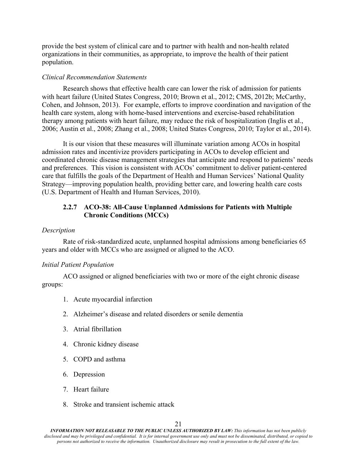provide the best system of clinical care and to partner with health and non-health related organizations in their communities, as appropriate, to improve the health of their patient population.

## *Clinical Recommendation Statements*

Research shows that effective health care can lower the risk of admission for patients with heart failure (United States Congress, 2010; Brown et al., 2012; CMS, 2012b; McCarthy, Cohen, and Johnson, 2013). For example, efforts to improve coordination and navigation of the health care system, along with home-based interventions and exercise-based rehabilitation therapy among patients with heart failure, may reduce the risk of hospitalization (Inglis et al., 2006; Austin et al., 2008; Zhang et al., 2008; United States Congress, 2010; Taylor et al., 2014).

It is our vision that these measures will illuminate variation among ACOs in hospital admission rates and incentivize providers participating in ACOs to develop efficient and coordinated chronic disease management strategies that anticipate and respond to patients' needs and preferences. This vision is consistent with ACOs' commitment to deliver patient-centered care that fulfills the goals of the Department of Health and Human Services' National Quality Strategy—improving population health, providing better care, and lowering health care costs (U.S. Department of Health and Human Services, 2010).

## **2.2.7 ACO-38: All-Cause Unplanned Admissions for Patients with Multiple Chronic Conditions (MCCs)**

#### <span id="page-24-0"></span>*Description*

Rate of risk-standardized acute, unplanned hospital admissions among beneficiaries 65 years and older with MCCs who are assigned or aligned to the ACO.

## *Initial Patient Population*

ACO assigned or aligned beneficiaries with two or more of the eight chronic disease groups:

- 1. Acute myocardial infarction
- 2. Alzheimer's disease and related disorders or senile dementia
- 3. Atrial fibrillation
- 4. Chronic kidney disease
- 5. COPD and asthma
- 6. Depression
- 7. Heart failure
- 8. Stroke and transient ischemic attack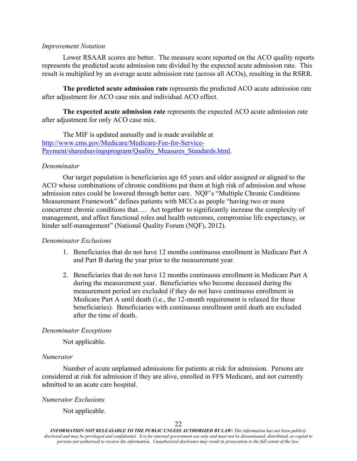#### *Improvement Notation*

Lower RSAAR scores are better. The measure score reported on the ACO quality reports represents the predicted acute admission rate divided by the expected acute admission rate. This result is multiplied by an average acute admission rate (across all ACOs), resulting in the RSRR.

**The predicted acute admission rate** represents the predicted ACO acute admission rate after adjustment for ACO case mix and individual ACO effect.

**The expected acute admission rate** represents the expected ACO acute admission rate after adjustment for only ACO case mix.

The MIF is updated annually and is made available at [http://www.cms.gov/Medicare/Medicare-Fee-for-Service-](http://www.cms.gov/Medicare/Medicare-Fee-for-Service-Payment/sharedsavingsprogram/Quality_Measures_Standards.html)[Payment/sharedsavingsprogram/Quality\\_Measures\\_Standards.html.](http://www.cms.gov/Medicare/Medicare-Fee-for-Service-Payment/sharedsavingsprogram/Quality_Measures_Standards.html)

## *Denominator*

Our target population is beneficiaries age 65 years and older assigned or aligned to the ACO whose combinations of chronic conditions put them at high risk of admission and whose admission rates could be lowered through better care. NQF's "Multiple Chronic Conditions Measurement Framework" defines patients with MCCs as people "having two or more concurrent chronic conditions that…. Act together to significantly increase the complexity of management, and affect functional roles and health outcomes, compromise life expectancy, or hinder self-management" (National Quality Forum (NQF), 2012).

## *Denominator Exclusions*

- 1. Beneficiaries that do not have 12 months continuous enrollment in Medicare Part A and Part B during the year prior to the measurement year.
- 2. Beneficiaries that do not have 12 months continuous enrollment in Medicare Part A during the measurement year. Beneficiaries who become deceased during the measurement period are excluded if they do not have continuous enrollment in Medicare Part A until death (i.e., the 12-month requirement is relaxed for these beneficiaries). Beneficiaries with continuous enrollment until death are excluded after the time of death.

## *Denominator Exceptions*

Not applicable.

## *Numerator*

Number of acute unplanned admissions for patients at risk for admission. Persons are considered at risk for admission if they are alive, enrolled in FFS Medicare, and not currently admitted to an acute care hospital.

## *Numerator Exclusions*

Not applicable.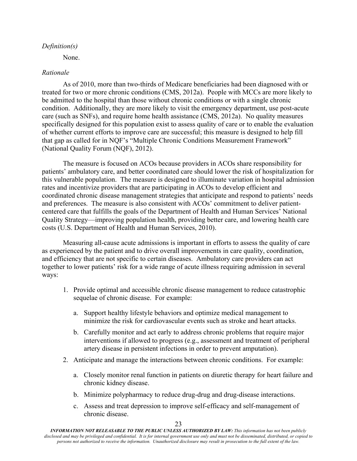#### *Definition(s)*

None.

#### *Rationale*

As of 2010, more than two-thirds of Medicare beneficiaries had been diagnosed with or treated for two or more chronic conditions (CMS, 2012a). People with MCCs are more likely to be admitted to the hospital than those without chronic conditions or with a single chronic condition. Additionally, they are more likely to visit the emergency department, use post-acute care (such as SNFs), and require home health assistance (CMS, 2012a). No quality measures specifically designed for this population exist to assess quality of care or to enable the evaluation of whether current efforts to improve care are successful; this measure is designed to help fill that gap as called for in NQF's "Multiple Chronic Conditions Measurement Framework" (National Quality Forum (NQF), 2012).

The measure is focused on ACOs because providers in ACOs share responsibility for patients' ambulatory care, and better coordinated care should lower the risk of hospitalization for this vulnerable population. The measure is designed to illuminate variation in hospital admission rates and incentivize providers that are participating in ACOs to develop efficient and coordinated chronic disease management strategies that anticipate and respond to patients' needs and preferences. The measure is also consistent with ACOs' commitment to deliver patientcentered care that fulfills the goals of the Department of Health and Human Services' National Quality Strategy—improving population health, providing better care, and lowering health care costs (U.S. Department of Health and Human Services, 2010).

Measuring all-cause acute admissions is important in efforts to assess the quality of care as experienced by the patient and to drive overall improvements in care quality, coordination, and efficiency that are not specific to certain diseases. Ambulatory care providers can act together to lower patients' risk for a wide range of acute illness requiring admission in several ways:

- 1. Provide optimal and accessible chronic disease management to reduce catastrophic sequelae of chronic disease. For example:
	- a. Support healthy lifestyle behaviors and optimize medical management to minimize the risk for cardiovascular events such as stroke and heart attacks.
	- b. Carefully monitor and act early to address chronic problems that require major interventions if allowed to progress (e.g., assessment and treatment of peripheral artery disease in persistent infections in order to prevent amputation).
- 2. Anticipate and manage the interactions between chronic conditions. For example:
	- a. Closely monitor renal function in patients on diuretic therapy for heart failure and chronic kidney disease.
	- b. Minimize polypharmacy to reduce drug-drug and drug-disease interactions.
	- c. Assess and treat depression to improve self-efficacy and self-management of chronic disease.

23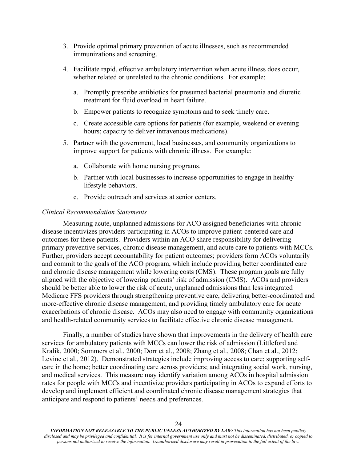- 3. Provide optimal primary prevention of acute illnesses, such as recommended immunizations and screening.
- 4. Facilitate rapid, effective ambulatory intervention when acute illness does occur, whether related or unrelated to the chronic conditions. For example:
	- a. Promptly prescribe antibiotics for presumed bacterial pneumonia and diuretic treatment for fluid overload in heart failure.
	- b. Empower patients to recognize symptoms and to seek timely care.
	- c. Create accessible care options for patients (for example, weekend or evening hours; capacity to deliver intravenous medications).
- 5. Partner with the government, local businesses, and community organizations to improve support for patients with chronic illness. For example:
	- a. Collaborate with home nursing programs.
	- b. Partner with local businesses to increase opportunities to engage in healthy lifestyle behaviors.
	- c. Provide outreach and services at senior centers.

#### *Clinical Recommendation Statements*

Measuring acute, unplanned admissions for ACO assigned beneficiaries with chronic disease incentivizes providers participating in ACOs to improve patient-centered care and outcomes for these patients. Providers within an ACO share responsibility for delivering primary preventive services, chronic disease management, and acute care to patients with MCCs. Further, providers accept accountability for patient outcomes; providers form ACOs voluntarily and commit to the goals of the ACO program, which include providing better coordinated care and chronic disease management while lowering costs (CMS). These program goals are fully aligned with the objective of lowering patients' risk of admission (CMS). ACOs and providers should be better able to lower the risk of acute, unplanned admissions than less integrated Medicare FFS providers through strengthening preventive care, delivering better-coordinated and more-effective chronic disease management, and providing timely ambulatory care for acute exacerbations of chronic disease. ACOs may also need to engage with community organizations and health-related community services to facilitate effective chronic disease management.

Finally, a number of studies have shown that improvements in the delivery of health care services for ambulatory patients with MCCs can lower the risk of admission (Littleford and Kralik, 2000; Sommers et al., 2000; Dorr et al., 2008; Zhang et al., 2008; Chan et al., 2012; Levine et al., 2012). Demonstrated strategies include improving access to care; supporting selfcare in the home; better coordinating care across providers; and integrating social work, nursing, and medical services. This measure may identify variation among ACOs in hospital admission rates for people with MCCs and incentivize providers participating in ACOs to expand efforts to develop and implement efficient and coordinated chronic disease management strategies that anticipate and respond to patients' needs and preferences.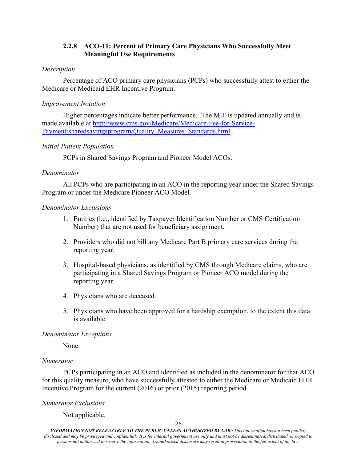## **2.2.8 ACO-11: Percent of Primary Care Physicians Who Successfully Meet Meaningful Use Requirements**

## <span id="page-28-0"></span>*Description*

Percentage of ACO primary care physicians (PCPs) who successfully attest to either the Medicare or Medicaid EHR Incentive Program.

#### *Improvement Notation*

Higher percentages indicate better performance. The MIF is updated annually and is made available at [http://www.cms.gov/Medicare/Medicare-Fee-for-Service-](http://www.cms.gov/Medicare/Medicare-Fee-for-Service-Payment/sharedsavingsprogram/Quality_Measures_Standards.html)[Payment/sharedsavingsprogram/Quality\\_Measures\\_Standards.html.](http://www.cms.gov/Medicare/Medicare-Fee-for-Service-Payment/sharedsavingsprogram/Quality_Measures_Standards.html)

## *Initial Patient Population*

PCPs in Shared Savings Program and Pioneer Model ACOs.

#### *Denominator*

All PCPs who are participating in an ACO in the reporting year under the Shared Savings Program or under the Medicare Pioneer ACO Model.

#### *Denominator Exclusions*

- 1. Entities (i.e., identified by Taxpayer Identification Number or CMS Certification Number) that are not used for beneficiary assignment.
- 2. Providers who did not bill any Medicare Part B primary care services during the reporting year.
- 3. Hospital-based physicians, as identified by CMS through Medicare claims, who are participating in a Shared Savings Program or Pioneer ACO model during the reporting year.
- 4. Physicians who are deceased.
- 5. Physicians who have been approved for a hardship exemption, to the extent this data is available.

#### *Denominator Exceptions*

None.

#### *Numerator*

PCPs participating in an ACO and identified as included in the denominator for that ACO for this quality measure, who have successfully attested to either the Medicare or Medicaid EHR Incentive Program for the current (2016) or prior (2015) reporting period.

## *Numerator Exclusions*

Not applicable.

25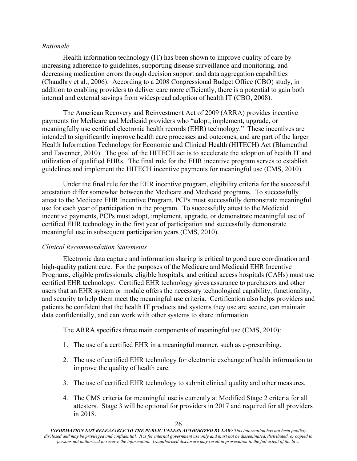#### *Rationale*

Health information technology (IT) has been shown to improve quality of care by increasing adherence to guidelines, supporting disease surveillance and monitoring, and decreasing medication errors through decision support and data aggregation capabilities (Chaudhry et al., 2006). According to a 2008 Congressional Budget Office (CBO) study, in addition to enabling providers to deliver care more efficiently, there is a potential to gain both internal and external savings from widespread adoption of health IT (CBO, 2008).

The American Recovery and Reinvestment Act of 2009 (ARRA) provides incentive payments for Medicare and Medicaid providers who "adopt, implement, upgrade, or meaningfully use certified electronic health records (EHR) technology." These incentives are intended to significantly improve health care processes and outcomes, and are part of the larger Health Information Technology for Economic and Clinical Health (HITECH) Act (Blumenthal and Tavenner, 2010). The goal of the HITECH act is to accelerate the adoption of health IT and utilization of qualified EHRs. The final rule for the EHR incentive program serves to establish guidelines and implement the HITECH incentive payments for meaningful use (CMS, 2010).

Under the final rule for the EHR incentive program, eligibility criteria for the successful attestation differ somewhat between the Medicare and Medicaid programs. To successfully attest to the Medicare EHR Incentive Program, PCPs must successfully demonstrate meaningful use for each year of participation in the program. To successfully attest to the Medicaid incentive payments, PCPs must adopt, implement, upgrade, or demonstrate meaningful use of certified EHR technology in the first year of participation and successfully demonstrate meaningful use in subsequent participation years (CMS, 2010).

#### *Clinical Recommendation Statements*

Electronic data capture and information sharing is critical to good care coordination and high-quality patient care. For the purposes of the Medicare and Medicaid EHR Incentive Programs, eligible professionals, eligible hospitals, and critical access hospitals (CAHs) must use certified EHR technology. Certified EHR technology gives assurance to purchasers and other users that an EHR system or module offers the necessary technological capability, functionality, and security to help them meet the meaningful use criteria. Certification also helps providers and patients be confident that the health IT products and systems they use are secure, can maintain data confidentially, and can work with other systems to share information.

The ARRA specifies three main components of meaningful use (CMS, 2010):

- 1. The use of a certified EHR in a meaningful manner, such as e-prescribing.
- 2. The use of certified EHR technology for electronic exchange of health information to improve the quality of health care.
- 3. The use of certified EHR technology to submit clinical quality and other measures.
- 4. The CMS criteria for meaningful use is currently at Modified Stage 2 criteria for all attesters. Stage 3 will be optional for providers in 2017 and required for all providers in 2018.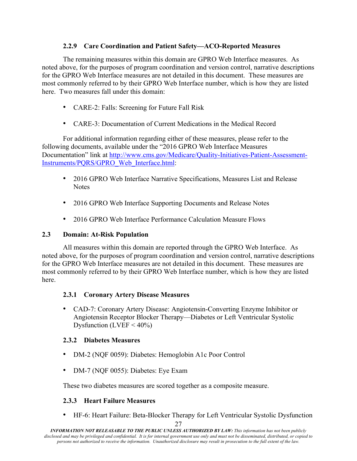# **2.2.9 Care Coordination and Patient Safety—ACO-Reported Measures**

<span id="page-30-0"></span>The remaining measures within this domain are GPRO Web Interface measures. As noted above, for the purposes of program coordination and version control, narrative descriptions for the GPRO Web Interface measures are not detailed in this document. These measures are most commonly referred to by their GPRO Web Interface number, which is how they are listed here. Two measures fall under this domain:

- CARE-2: Falls: Screening for Future Fall Risk
- CARE-3: Documentation of Current Medications in the Medical Record

For additional information regarding either of these measures, please refer to the following documents, available under the "2016 GPRO Web Interface Measures Documentation" link at [http://www.cms.gov/Medicare/Quality-Initiatives-Patient-Assessment-](http://www.cms.gov/Medicare/Quality-Initiatives-Patient-Assessment-Instruments/PQRS/GPRO_Web_Interface.html)[Instruments/PQRS/GPRO\\_Web\\_Interface.html:](http://www.cms.gov/Medicare/Quality-Initiatives-Patient-Assessment-Instruments/PQRS/GPRO_Web_Interface.html)

- 2016 GPRO Web Interface Narrative Specifications, Measures List and Release **Notes**
- 2016 GPRO Web Interface Supporting Documents and Release Notes
- 2016 GPRO Web Interface Performance Calculation Measure Flows

# <span id="page-30-1"></span>**2.3 Domain: At-Risk Population**

<span id="page-30-2"></span>All measures within this domain are reported through the GPRO Web Interface. As noted above, for the purposes of program coordination and version control, narrative descriptions for the GPRO Web Interface measures are not detailed in this document. These measures are most commonly referred to by their GPRO Web Interface number, which is how they are listed here.

# **2.3.1 Coronary Artery Disease Measures**

• CAD-7: Coronary Artery Disease: Angiotensin-Converting Enzyme Inhibitor or Angiotensin Receptor Blocker Therapy—Diabetes or Left Ventricular Systolic Dysfunction (LVEF  $\leq 40\%$ )

# <span id="page-30-3"></span>**2.3.2 Diabetes Measures**

- DM-2 (NQF 0059): Diabetes: Hemoglobin A1c Poor Control
- DM-7 (NQF 0055): Diabetes: Eye Exam

These two diabetes measures are scored together as a composite measure.

# <span id="page-30-4"></span>**2.3.3 Heart Failure Measures**

• HF-6: Heart Failure: Beta-Blocker Therapy for Left Ventricular Systolic Dysfunction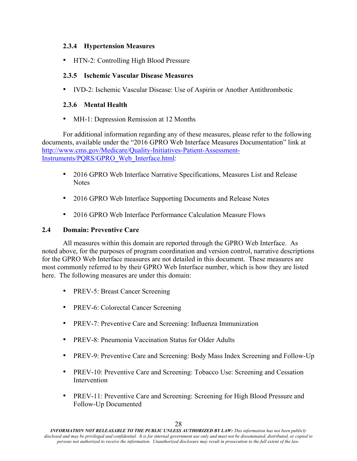# <span id="page-31-0"></span>**2.3.4 Hypertension Measures**

• HTN-2: Controlling High Blood Pressure

# <span id="page-31-1"></span>**2.3.5 Ischemic Vascular Disease Measures**

• IVD-2: Ischemic Vascular Disease: Use of Aspirin or Another Antithrombotic

# **2.3.6 Mental Health**

• MH-1: Depression Remission at 12 Months

<span id="page-31-2"></span>For additional information regarding any of these measures, please refer to the following documents, available under the "2016 GPRO Web Interface Measures Documentation" link at [http://www.cms.gov/Medicare/Quality-Initiatives-Patient-Assessment-](http://www.cms.gov/Medicare/Quality-Initiatives-Patient-Assessment-Instruments/PQRS/GPRO_Web_Interface.html)[Instruments/PQRS/GPRO\\_Web\\_Interface.html:](http://www.cms.gov/Medicare/Quality-Initiatives-Patient-Assessment-Instruments/PQRS/GPRO_Web_Interface.html)

- 2016 GPRO Web Interface Narrative Specifications, Measures List and Release **Notes**
- 2016 GPRO Web Interface Supporting Documents and Release Notes
- 2016 GPRO Web Interface Performance Calculation Measure Flows

# <span id="page-31-3"></span>**2.4 Domain: Preventive Care**

All measures within this domain are reported through the GPRO Web Interface. As noted above, for the purposes of program coordination and version control, narrative descriptions for the GPRO Web Interface measures are not detailed in this document. These measures are most commonly referred to by their GPRO Web Interface number, which is how they are listed here. The following measures are under this domain:

- PREV-5: Breast Cancer Screening
- PREV-6: Colorectal Cancer Screening
- PREV-7: Preventive Care and Screening: Influenza Immunization
- PREV-8: Pneumonia Vaccination Status for Older Adults
- PREV-9: Preventive Care and Screening: Body Mass Index Screening and Follow-Up
- PREV-10: Preventive Care and Screening: Tobacco Use: Screening and Cessation **Intervention**
- PREV-11: Preventive Care and Screening: Screening for High Blood Pressure and Follow-Up Documented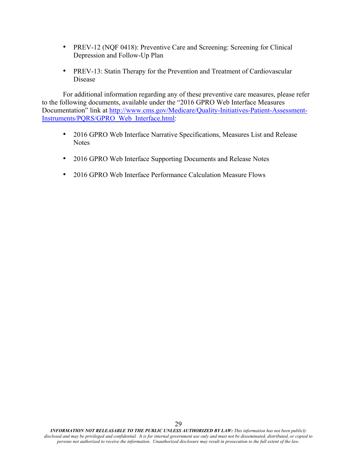- PREV-12 (NQF 0418): Preventive Care and Screening: Screening for Clinical Depression and Follow-Up Plan
- PREV-13: Statin Therapy for the Prevention and Treatment of Cardiovascular Disease

For additional information regarding any of these preventive care measures, please refer to the following documents, available under the "2016 GPRO Web Interface Measures Documentation" link at [http://www.cms.gov/Medicare/Quality-Initiatives-Patient-Assessment-](http://www.cms.gov/Medicare/Quality-Initiatives-Patient-Assessment-Instruments/PQRS/GPRO_Web_Interface.html)[Instruments/PQRS/GPRO\\_Web\\_Interface.html:](http://www.cms.gov/Medicare/Quality-Initiatives-Patient-Assessment-Instruments/PQRS/GPRO_Web_Interface.html)

- 2016 GPRO Web Interface Narrative Specifications, Measures List and Release **Notes**
- 2016 GPRO Web Interface Supporting Documents and Release Notes
- 2016 GPRO Web Interface Performance Calculation Measure Flows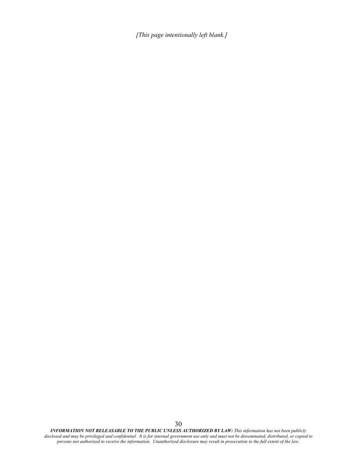*[This page intentionally left blank.]*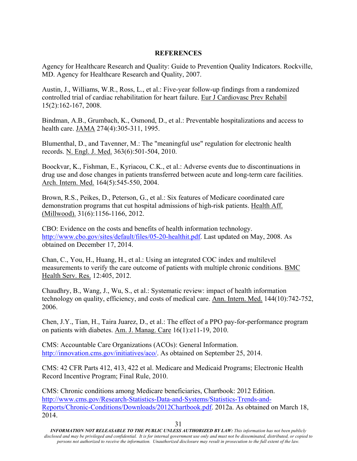## **REFERENCES**

<span id="page-34-0"></span>Agency for Healthcare Research and Quality: Guide to Prevention Quality Indicators. Rockville, MD. Agency for Healthcare Research and Quality, 2007.

Austin, J., Williams, W.R., Ross, L., et al.: Five-year follow-up findings from a randomized controlled trial of cardiac rehabilitation for heart failure. Eur J Cardiovasc Prev Rehabil 15(2):162-167, 2008.

Bindman, A.B., Grumbach, K., Osmond, D., et al.: Preventable hospitalizations and access to health care. JAMA 274(4):305-311, 1995.

Blumenthal, D., and Tavenner, M.: The "meaningful use" regulation for electronic health records. N. Engl. J. Med. 363(6):501-504, 2010.

Boockvar, K., Fishman, E., Kyriacou, C.K., et al.: Adverse events due to discontinuations in drug use and dose changes in patients transferred between acute and long-term care facilities. Arch. Intern. Med. 164(5):545-550, 2004.

Brown, R.S., Peikes, D., Peterson, G., et al.: Six features of Medicare coordinated care demonstration programs that cut hospital admissions of high-risk patients. Health Aff. (Millwood). 31(6):1156-1166, 2012.

CBO: Evidence on the costs and benefits of health information technology. [http://www.cbo.gov/sites/default/files/05-20-healthit.pdf.](http://www.cbo.gov/sites/default/files/05-20-healthit.pdf) Last updated on May, 2008. As obtained on December 17, 2014.

Chan, C., You, H., Huang, H., et al.: Using an integrated COC index and multilevel measurements to verify the care outcome of patients with multiple chronic conditions. BMC Health Serv. Res. 12:405, 2012.

Chaudhry, B., Wang, J., Wu, S., et al.: Systematic review: impact of health information technology on quality, efficiency, and costs of medical care. Ann. Intern. Med. 144(10):742-752, 2006.

Chen, J.Y., Tian, H., Taira Juarez, D., et al.: The effect of a PPO pay-for-performance program on patients with diabetes. Am. J. Manag. Care 16(1):e11-19, 2010.

CMS: Accountable Care Organizations (ACOs): General Information. [http://innovation.cms.gov/initiatives/aco/.](http://innovation.cms.gov/initiatives/aco/) As obtained on September 25, 2014.

CMS: 42 CFR Parts 412, 413, 422 et al. Medicare and Medicaid Programs; Electronic Health Record Incentive Program; Final Rule, 2010.

CMS: Chronic conditions among Medicare beneficiaries, Chartbook: 2012 Edition. [http://www.cms.gov/Research-Statistics-Data-and-Systems/Statistics-Trends-and-](http://www.cms.gov/Research-Statistics-Data-and-Systems/Statistics-Trends-and-Reports/Chronic-Conditions/Downloads/2012Chartbook.pdf)[Reports/Chronic-Conditions/Downloads/2012Chartbook.pdf.](http://www.cms.gov/Research-Statistics-Data-and-Systems/Statistics-Trends-and-Reports/Chronic-Conditions/Downloads/2012Chartbook.pdf) 2012a. As obtained on March 18, 2014.

31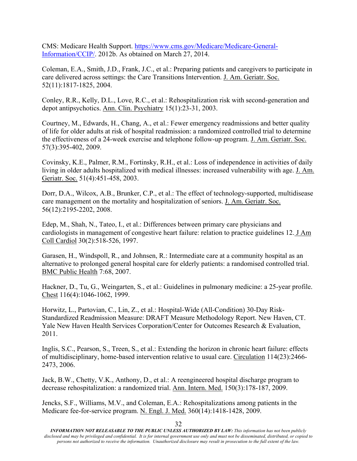CMS: Medicare Health Support. [https://www.cms.gov/Medicare/Medicare-General-](https://www.cms.gov/Medicare/Medicare-General-Information/CCIP/)[Information/CCIP/.](https://www.cms.gov/Medicare/Medicare-General-Information/CCIP/) 2012b. As obtained on March 27, 2014.

Coleman, E.A., Smith, J.D., Frank, J.C., et al.: Preparing patients and caregivers to participate in care delivered across settings: the Care Transitions Intervention. J. Am. Geriatr. Soc. 52(11):1817-1825, 2004.

Conley, R.R., Kelly, D.L., Love, R.C., et al.: Rehospitalization risk with second-generation and depot antipsychotics. Ann. Clin. Psychiatry 15(1):23-31, 2003.

Courtney, M., Edwards, H., Chang, A., et al.: Fewer emergency readmissions and better quality of life for older adults at risk of hospital readmission: a randomized controlled trial to determine the effectiveness of a 24-week exercise and telephone follow-up program. J. Am. Geriatr. Soc. 57(3):395-402, 2009.

Covinsky, K.E., Palmer, R.M., Fortinsky, R.H., et al.: Loss of independence in activities of daily living in older adults hospitalized with medical illnesses: increased vulnerability with age. J. Am. Geriatr. Soc. 51(4):451-458, 2003.

Dorr, D.A., Wilcox, A.B., Brunker, C.P., et al.: The effect of technology-supported, multidisease care management on the mortality and hospitalization of seniors. J. Am. Geriatr. Soc. 56(12):2195-2202, 2008.

Edep, M., Shah, N., Tateo, I., et al.: Differences between primary care physicians and cardiologists in management of congestive heart failure: relation to practice guidelines 12. J Am Coll Cardiol 30(2):518-526, 1997.

Garasen, H., Windspoll, R., and Johnsen, R.: Intermediate care at a community hospital as an alternative to prolonged general hospital care for elderly patients: a randomised controlled trial. BMC Public Health 7:68, 2007.

Hackner, D., Tu, G., Weingarten, S., et al.: Guidelines in pulmonary medicine: a 25-year profile. Chest 116(4):1046-1062, 1999.

Horwitz, L., Partovian, C., Lin, Z., et al.: Hospital-Wide (All-Condition) 30-Day Risk-Standardized Readmission Measure: DRAFT Measure Methodology Report. New Haven, CT. Yale New Haven Health Services Corporation/Center for Outcomes Research & Evaluation, 2011.

Inglis, S.C., Pearson, S., Treen, S., et al.: Extending the horizon in chronic heart failure: effects of multidisciplinary, home-based intervention relative to usual care. Circulation 114(23):2466- 2473, 2006.

Jack, B.W., Chetty, V.K., Anthony, D., et al.: A reengineered hospital discharge program to decrease rehospitalization: a randomized trial. Ann. Intern. Med. 150(3):178-187, 2009.

Jencks, S.F., Williams, M.V., and Coleman, E.A.: Rehospitalizations among patients in the Medicare fee-for-service program. N. Engl. J. Med. 360(14):1418-1428, 2009.

32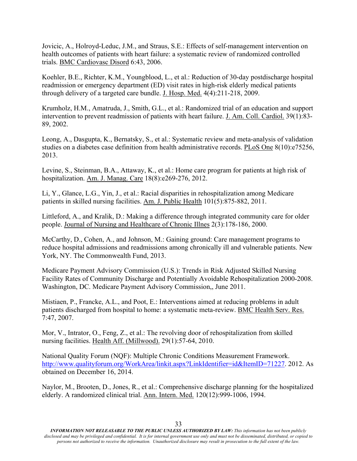Jovicic, A., Holroyd-Leduc, J.M., and Straus, S.E.: Effects of self-management intervention on health outcomes of patients with heart failure: a systematic review of randomized controlled trials. BMC Cardiovasc Disord 6:43, 2006.

Koehler, B.E., Richter, K.M., Youngblood, L., et al.: Reduction of 30-day postdischarge hospital readmission or emergency department (ED) visit rates in high-risk elderly medical patients through delivery of a targeted care bundle. J. Hosp. Med. 4(4):211-218, 2009.

Krumholz, H.M., Amatruda, J., Smith, G.L., et al.: Randomized trial of an education and support intervention to prevent readmission of patients with heart failure. J. Am. Coll. Cardiol. 39(1):83- 89, 2002.

Leong, A., Dasgupta, K., Bernatsky, S., et al.: Systematic review and meta-analysis of validation studies on a diabetes case definition from health administrative records. PLoS One 8(10):e75256, 2013.

Levine, S., Steinman, B.A., Attaway, K., et al.: Home care program for patients at high risk of hospitalization. Am. J. Manag. Care 18(8):e269-276, 2012.

Li, Y., Glance, L.G., Yin, J., et al.: Racial disparities in rehospitalization among Medicare patients in skilled nursing facilities. Am. J. Public Health 101(5):875-882, 2011.

Littleford, A., and Kralik, D.: Making a difference through integrated community care for older people. Journal of Nursing and Healthcare of Chronic Illnes 2(3):178-186, 2000.

McCarthy, D., Cohen, A., and Johnson, M.: Gaining ground: Care management programs to reduce hospital admissions and readmissions among chronically ill and vulnerable patients. New York, NY. The Commonwealth Fund, 2013.

Medicare Payment Advisory Commission (U.S.): Trends in Risk Adjusted Skilled Nursing Facility Rates of Community Discharge and Potentially Avoidable Rehospitalization 2000-2008. Washington, DC. Medicare Payment Advisory Commission,, June 2011.

Mistiaen, P., Francke, A.L., and Poot, E.: Interventions aimed at reducing problems in adult patients discharged from hospital to home: a systematic meta-review. BMC Health Serv. Res. 7:47, 2007.

Mor, V., Intrator, O., Feng, Z., et al.: The revolving door of rehospitalization from skilled nursing facilities. Health Aff. (Millwood). 29(1):57-64, 2010.

National Quality Forum (NQF): Multiple Chronic Conditions Measurement Framework. [http://www.qualityforum.org/WorkArea/linkit.aspx?LinkIdentifier=id&ItemID=71227.](http://www.qualityforum.org/WorkArea/linkit.aspx?LinkIdentifier=id&ItemID=71227) 2012. As obtained on December 16, 2014.

Naylor, M., Brooten, D., Jones, R., et al.: Comprehensive discharge planning for the hospitalized elderly. A randomized clinical trial. Ann. Intern. Med. 120(12):999-1006, 1994.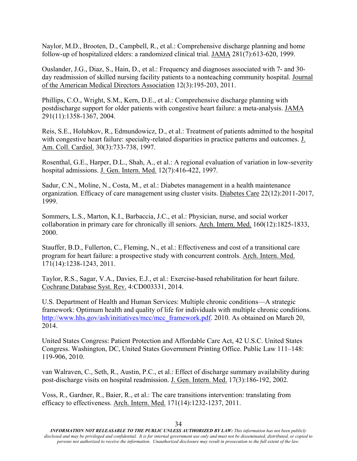Naylor, M.D., Brooten, D., Campbell, R., et al.: Comprehensive discharge planning and home follow-up of hospitalized elders: a randomized clinical trial. JAMA 281(7):613-620, 1999.

Ouslander, J.G., Diaz, S., Hain, D., et al.: Frequency and diagnoses associated with 7- and 30 day readmission of skilled nursing facility patients to a nonteaching community hospital. Journal of the American Medical Directors Association 12(3):195-203, 2011.

Phillips, C.O., Wright, S.M., Kern, D.E., et al.: Comprehensive discharge planning with postdischarge support for older patients with congestive heart failure: a meta-analysis. JAMA 291(11):1358-1367, 2004.

Reis, S.E., Holubkov, R., Edmundowicz, D., et al.: Treatment of patients admitted to the hospital with congestive heart failure: specialty-related disparities in practice patterns and outcomes. J. Am. Coll. Cardiol. 30(3):733-738, 1997.

Rosenthal, G.E., Harper, D.L., Shah, A., et al.: A regional evaluation of variation in low-severity hospital admissions. J. Gen. Intern. Med. 12(7):416-422, 1997.

Sadur, C.N., Moline, N., Costa, M., et al.: Diabetes management in a health maintenance organization. Efficacy of care management using cluster visits. Diabetes Care 22(12):2011-2017, 1999.

Sommers, L.S., Marton, K.I., Barbaccia, J.C., et al.: Physician, nurse, and social worker collaboration in primary care for chronically ill seniors. Arch. Intern. Med. 160(12):1825-1833, 2000.

Stauffer, B.D., Fullerton, C., Fleming, N., et al.: Effectiveness and cost of a transitional care program for heart failure: a prospective study with concurrent controls. Arch. Intern. Med. 171(14):1238-1243, 2011.

Taylor, R.S., Sagar, V.A., Davies, E.J., et al.: Exercise-based rehabilitation for heart failure. Cochrane Database Syst. Rev. 4:CD003331, 2014.

U.S. Department of Health and Human Services: Multiple chronic conditions—A strategic framework: Optimum health and quality of life for individuals with multiple chronic conditions. [http://www.hhs.gov/ash/initiatives/mcc/mcc\\_framework.pdf.](http://www.hhs.gov/ash/initiatives/mcc/mcc_framework.pdf) 2010. As obtained on March 20, 2014.

United States Congress: Patient Protection and Affordable Care Act, 42 U.S.C. United States Congress. Washington, DC, United States Government Printing Office. Public Law 111–148: 119-906, 2010.

van Walraven, C., Seth, R., Austin, P.C., et al.: Effect of discharge summary availability during post-discharge visits on hospital readmission. J. Gen. Intern. Med. 17(3):186-192, 2002.

Voss, R., Gardner, R., Baier, R., et al.: The care transitions intervention: translating from efficacy to effectiveness. Arch. Intern. Med. 171(14):1232-1237, 2011.